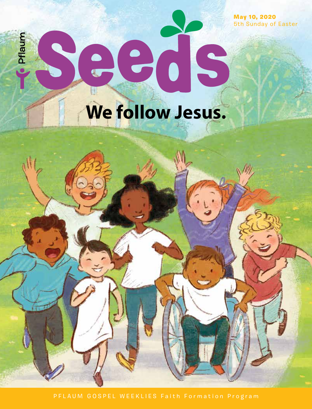May 10, 2020 5th Sunday of Easter

# **SCOCKS**<br>We follow Jesus. Pflaum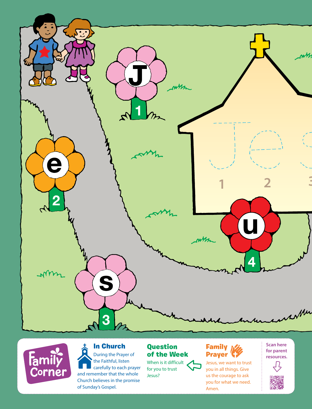



#### In Church During the Prayer of

the Faithful, listen carefully to each prayer and remember that the whole Church believes in the promise of Sunday's Gospel.

#### Question of the Week

When is it difficult for you to trust Jesus?

#### **Family Mill** Prayer

Jesus, we want to trust you in all things. Give us the courage to ask you for what we need. Amen.

#### **Scan here for parent resources.**<u>几</u>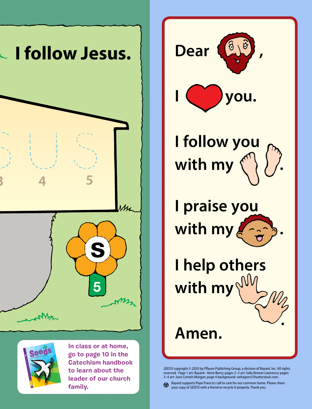



**In class or at home, go to page 10 in the Catechism handbook to learn about the leader of our church family.**



**I follow you**  with my  $\binom{6}{5}$ 

**I praise you with my .**

**I help others with my** 

## **Amen.**

*SEEDS* copyright © 2020 by Pflaum Publishing Group, a division of Bayard, Inc. All rights reserved. Page 1 art: Bayard– Anne Berry; pages 2–3 art: Sally Brewer Lawrence; pages 3–4 art: Jane Conteh Morgan; page 4 background: sathaporn/Shutterstock.com.

**.**

Bayard supports Pope Francis's call to care for our common home. Please share your copy of *SEEDS* with a friend or recycle it properly. Thank you.